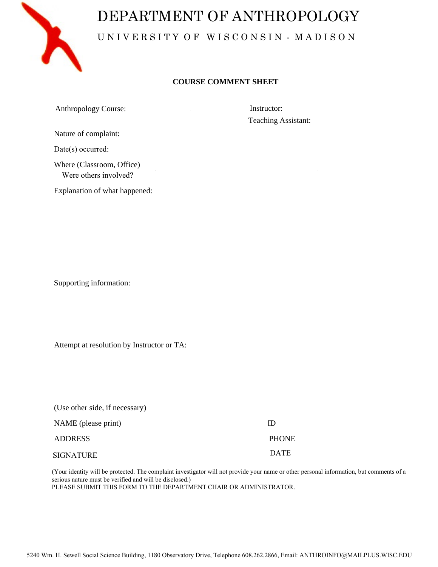

## DEPARTMENT OF ANTHROPOLOGY UNIVERSITY OF WISCONSIN - MADISON

## **COURSE COMMENT SHEET**

Anthropology Course: Instructor:

Teaching Assistant:

Nature of complaint:

Date(s) occurred:

Where (Classroom, Office) Were others involved?

Explanation of what happened:

Supporting information:

Attempt at resolution by Instructor or TA:

| (Use other side, if necessary) |              |
|--------------------------------|--------------|
| NAME (please print)            | ID           |
| <b>ADDRESS</b>                 | <b>PHONE</b> |
| <b>SIGNATURE</b>               | <b>DATE</b>  |

(Your identity will be protected. The complaint investigator will not provide your name or other personal information, but comments of a serious nature must be verified and will be disclosed.) PLEASE SUBMIT THIS FORM TO THE DEPARTMENT CHAIR OR ADMINISTRATOR.